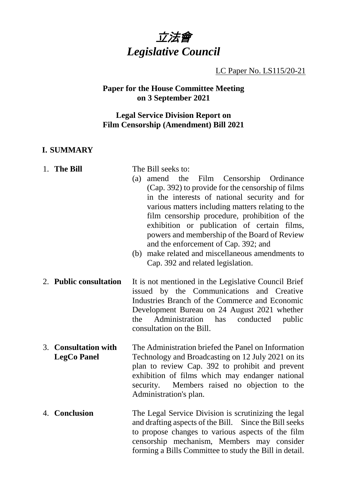

LC Paper No. LS115/20-21

# **Paper for the House Committee Meeting on 3 September 2021**

## **Legal Service Division Report on Film Censorship (Amendment) Bill 2021**

## **I. SUMMARY**

| 1. The Bill                                | The Bill seeks to:<br>amend the Film Censorship Ordinance<br>(a)<br>(Cap. 392) to provide for the censorship of films<br>in the interests of national security and for<br>various matters including matters relating to the<br>film censorship procedure, prohibition of the<br>exhibition or publication of certain films,<br>powers and membership of the Board of Review<br>and the enforcement of Cap. 392; and<br>make related and miscellaneous amendments to<br>(b)<br>Cap. 392 and related legislation. |
|--------------------------------------------|-----------------------------------------------------------------------------------------------------------------------------------------------------------------------------------------------------------------------------------------------------------------------------------------------------------------------------------------------------------------------------------------------------------------------------------------------------------------------------------------------------------------|
| 2. Public consultation                     | It is not mentioned in the Legislative Council Brief<br>issued by the Communications and Creative<br>Industries Branch of the Commerce and Economic<br>Development Bureau on 24 August 2021 whether<br>Administration<br>the<br>has<br>conducted<br>public<br>consultation on the Bill.                                                                                                                                                                                                                         |
| 3. Consultation with<br><b>LegCo Panel</b> | The Administration briefed the Panel on Information<br>Technology and Broadcasting on 12 July 2021 on its<br>plan to review Cap. 392 to prohibit and prevent<br>exhibition of films which may endanger national<br>Members raised no objection to the<br>security.<br>Administration's plan.                                                                                                                                                                                                                    |
| 4. Conclusion                              | The Legal Service Division is scrutinizing the legal<br>and drafting aspects of the Bill. Since the Bill seeks<br>to propose changes to various aspects of the film<br>censorship mechanism, Members may consider<br>forming a Bills Committee to study the Bill in detail.                                                                                                                                                                                                                                     |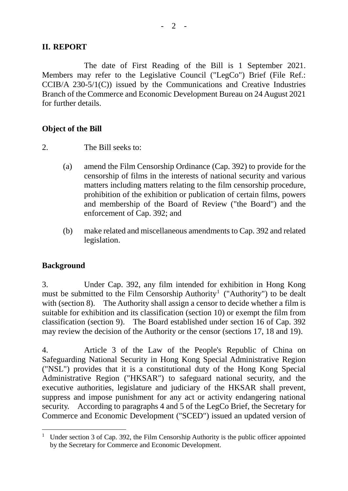### **II. REPORT**

The date of First Reading of the Bill is 1 September 2021. Members may refer to the Legislative Council ("LegCo") Brief (File Ref.: CCIB/A 230-5/1(C)) issued by the Communications and Creative Industries Branch of the Commerce and Economic Development Bureau on 24 August 2021 for further details.

### **Object of the Bill**

2. The Bill seeks to:

- (a) amend the Film Censorship Ordinance (Cap. 392) to provide for the censorship of films in the interests of national security and various matters including matters relating to the film censorship procedure, prohibition of the exhibition or publication of certain films, powers and membership of the Board of Review ("the Board") and the enforcement of Cap. 392; and
- (b) make related and miscellaneous amendments to Cap. 392 and related legislation.

# **Background**

3. Under Cap. 392, any film intended for exhibition in Hong Kong must be submitted to the Film Censorship Authority<sup>[1](#page-1-0)</sup> ("Authority") to be dealt with (section 8). The Authority shall assign a censor to decide whether a film is suitable for exhibition and its classification (section 10) or exempt the film from classification (section 9). The Board established under section 16 of Cap. 392 may review the decision of the Authority or the censor (sections 17, 18 and 19).

4. Article 3 of the Law of the People's Republic of China on Safeguarding National Security in Hong Kong Special Administrative Region ("NSL") provides that it is a constitutional duty of the Hong Kong Special Administrative Region ("HKSAR") to safeguard national security, and the executive authorities, legislature and judiciary of the HKSAR shall prevent, suppress and impose punishment for any act or activity endangering national security. According to paragraphs 4 and 5 of the LegCo Brief, the Secretary for Commerce and Economic Development ("SCED") issued an updated version of

<span id="page-1-0"></span><sup>&</sup>lt;sup>1</sup> Under section 3 of Cap. 392, the Film Censorship Authority is the public officer appointed by the Secretary for Commerce and Economic Development.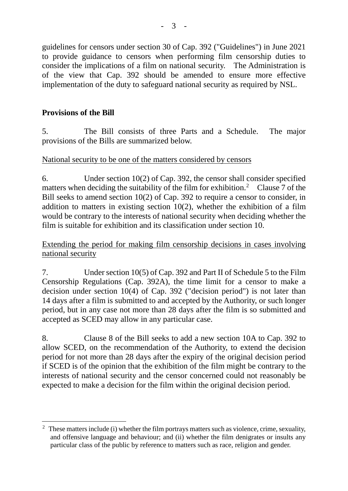guidelines for censors under section 30 of Cap. 392 ("Guidelines") in June 2021 to provide guidance to censors when performing film censorship duties to consider the implications of a film on national security. The Administration is of the view that Cap. 392 should be amended to ensure more effective implementation of the duty to safeguard national security as required by NSL.

# **Provisions of the Bill**

5. The Bill consists of three Parts and a Schedule. The major provisions of the Bills are summarized below.

## National security to be one of the matters considered by censors

6. Under section 10(2) of Cap. 392, the censor shall consider specified matters when deciding the suitability of the film for exhibition.<sup>[2](#page-2-0)</sup> Clause 7 of the Bill seeks to amend section 10(2) of Cap. 392 to require a censor to consider, in addition to matters in existing section  $10(2)$ , whether the exhibition of a film would be contrary to the interests of national security when deciding whether the film is suitable for exhibition and its classification under section 10.

Extending the period for making film censorship decisions in cases involving national security

7. Under section 10(5) of Cap. 392 and Part II of Schedule 5 to the Film Censorship Regulations (Cap. 392A), the time limit for a censor to make a decision under section 10(4) of Cap. 392 ("decision period") is not later than 14 days after a film is submitted to and accepted by the Authority, or such longer period, but in any case not more than 28 days after the film is so submitted and accepted as SCED may allow in any particular case.

8. Clause 8 of the Bill seeks to add a new section 10A to Cap. 392 to allow SCED, on the recommendation of the Authority, to extend the decision period for not more than 28 days after the expiry of the original decision period if SCED is of the opinion that the exhibition of the film might be contrary to the interests of national security and the censor concerned could not reasonably be expected to make a decision for the film within the original decision period.

<span id="page-2-0"></span><sup>&</sup>lt;sup>2</sup> These matters include (i) whether the film portrays matters such as violence, crime, sexuality, and offensive language and behaviour; and (ii) whether the film denigrates or insults any particular class of the public by reference to matters such as race, religion and gender.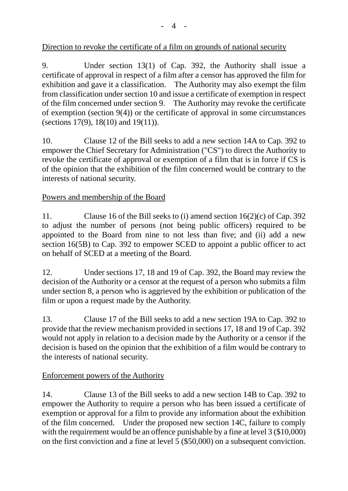9. Under section 13(1) of Cap. 392, the Authority shall issue a certificate of approval in respect of a film after a censor has approved the film for exhibition and gave it a classification. The Authority may also exempt the film from classification under section 10 and issue a certificate of exemption in respect of the film concerned under section 9. The Authority may revoke the certificate of exemption (section 9(4)) or the certificate of approval in some circumstances (sections 17(9), 18(10) and 19(11)).

10. Clause 12 of the Bill seeks to add a new section 14A to Cap. 392 to empower the Chief Secretary for Administration ("CS") to direct the Authority to revoke the certificate of approval or exemption of a film that is in force if CS is of the opinion that the exhibition of the film concerned would be contrary to the interests of national security.

# Powers and membership of the Board

11. Clause 16 of the Bill seeks to (i) amend section 16(2)(c) of Cap. 392 to adjust the number of persons (not being public officers) required to be appointed to the Board from nine to not less than five; and (ii) add a new section 16(5B) to Cap. 392 to empower SCED to appoint a public officer to act on behalf of SCED at a meeting of the Board.

12. Under sections 17, 18 and 19 of Cap. 392, the Board may review the decision of the Authority or a censor at the request of a person who submits a film under section 8, a person who is aggrieved by the exhibition or publication of the film or upon a request made by the Authority.

13. Clause 17 of the Bill seeks to add a new section 19A to Cap. 392 to provide that the review mechanism provided in sections 17, 18 and 19 of Cap. 392 would not apply in relation to a decision made by the Authority or a censor if the decision is based on the opinion that the exhibition of a film would be contrary to the interests of national security.

# Enforcement powers of the Authority

14. Clause 13 of the Bill seeks to add a new section 14B to Cap. 392 to empower the Authority to require a person who has been issued a certificate of exemption or approval for a film to provide any information about the exhibition of the film concerned. Under the proposed new section 14C, failure to comply with the requirement would be an offence punishable by a fine at level 3 (\$10,000) on the first conviction and a fine at level 5 (\$50,000) on a subsequent conviction.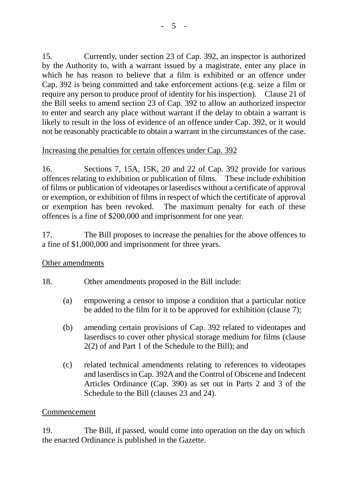15. Currently, under section 23 of Cap. 392, an inspector is authorized by the Authority to, with a warrant issued by a magistrate, enter any place in which he has reason to believe that a film is exhibited or an offence under Cap. 392 is being committed and take enforcement actions (e.g. seize a film or require any person to produce proof of identity for his inspection). Clause 21 of the Bill seeks to amend section 23 of Cap. 392 to allow an authorized inspector to enter and search any place without warrant if the delay to obtain a warrant is likely to result in the loss of evidence of an offence under Cap. 392, or it would not be reasonably practicable to obtain a warrant in the circumstances of the case.

## Increasing the penalties for certain offences under Cap. 392

16. Sections 7, 15A, 15K, 20 and 22 of Cap. 392 provide for various offences relating to exhibition or publication of films. These include exhibition of films or publication of videotapes or laserdiscs without a certificate of approval or exemption, or exhibition of films in respect of which the certificate of approval or exemption has been revoked. The maximum penalty for each of these offences is a fine of \$200,000 and imprisonment for one year.

17. The Bill proposes to increase the penalties for the above offences to a fine of \$1,000,000 and imprisonment for three years.

## Other amendments

# 18. Other amendments proposed in the Bill include:

- (a) empowering a censor to impose a condition that a particular notice be added to the film for it to be approved for exhibition (clause 7);
- (b) amending certain provisions of Cap. 392 related to videotapes and laserdiscs to cover other physical storage medium for films (clause 2(2) of and Part 1 of the Schedule to the Bill); and
- (c) related technical amendments relating to references to videotapes and laserdiscs in Cap. 392A and the Control of Obscene and Indecent Articles Ordinance (Cap. 390) as set out in Parts 2 and 3 of the Schedule to the Bill (clauses 23 and 24).

## Commencement

19. The Bill, if passed, would come into operation on the day on which the enacted Ordinance is published in the Gazette.